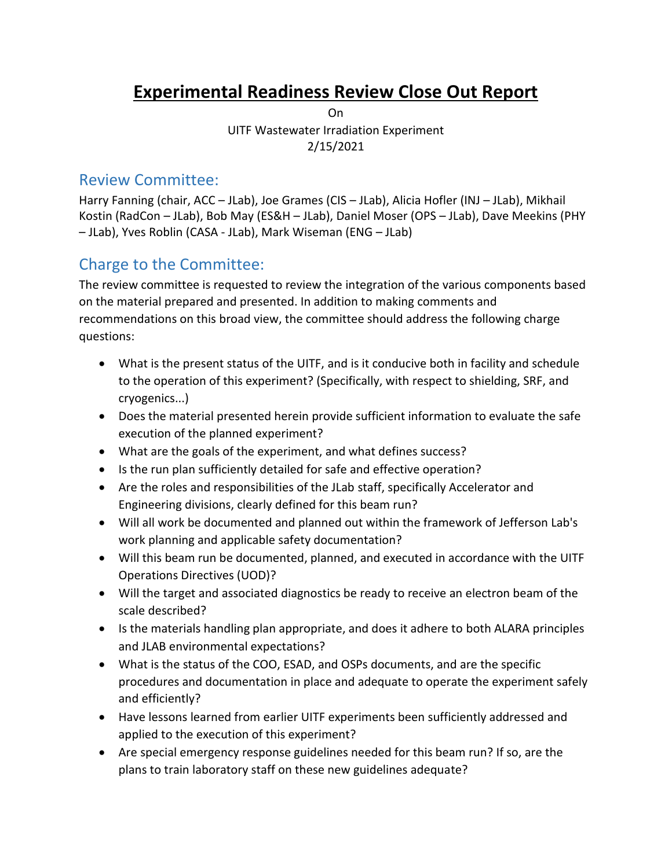# **Experimental Readiness Review Close Out Report**

On UITF Wastewater Irradiation Experiment 2/15/2021

## Review Committee:

Harry Fanning (chair, ACC – JLab), Joe Grames (CIS – JLab), Alicia Hofler (INJ – JLab), Mikhail Kostin (RadCon – JLab), Bob May (ES&H – JLab), Daniel Moser (OPS – JLab), Dave Meekins (PHY – JLab), Yves Roblin (CASA - JLab), Mark Wiseman (ENG – JLab)

## Charge to the Committee:

The review committee is requested to review the integration of the various components based on the material prepared and presented. In addition to making comments and recommendations on this broad view, the committee should address the following charge questions:

- What is the present status of the UITF, and is it conducive both in facility and schedule to the operation of this experiment? (Specifically, with respect to shielding, SRF, and cryogenics...)
- Does the material presented herein provide sufficient information to evaluate the safe execution of the planned experiment?
- What are the goals of the experiment, and what defines success?
- Is the run plan sufficiently detailed for safe and effective operation?
- Are the roles and responsibilities of the JLab staff, specifically Accelerator and Engineering divisions, clearly defined for this beam run?
- Will all work be documented and planned out within the framework of Jefferson Lab's work planning and applicable safety documentation?
- Will this beam run be documented, planned, and executed in accordance with the UITF Operations Directives (UOD)?
- Will the target and associated diagnostics be ready to receive an electron beam of the scale described?
- Is the materials handling plan appropriate, and does it adhere to both ALARA principles and JLAB environmental expectations?
- What is the status of the COO, ESAD, and OSPs documents, and are the specific procedures and documentation in place and adequate to operate the experiment safely and efficiently?
- Have lessons learned from earlier UITF experiments been sufficiently addressed and applied to the execution of this experiment?
- Are special emergency response guidelines needed for this beam run? If so, are the plans to train laboratory staff on these new guidelines adequate?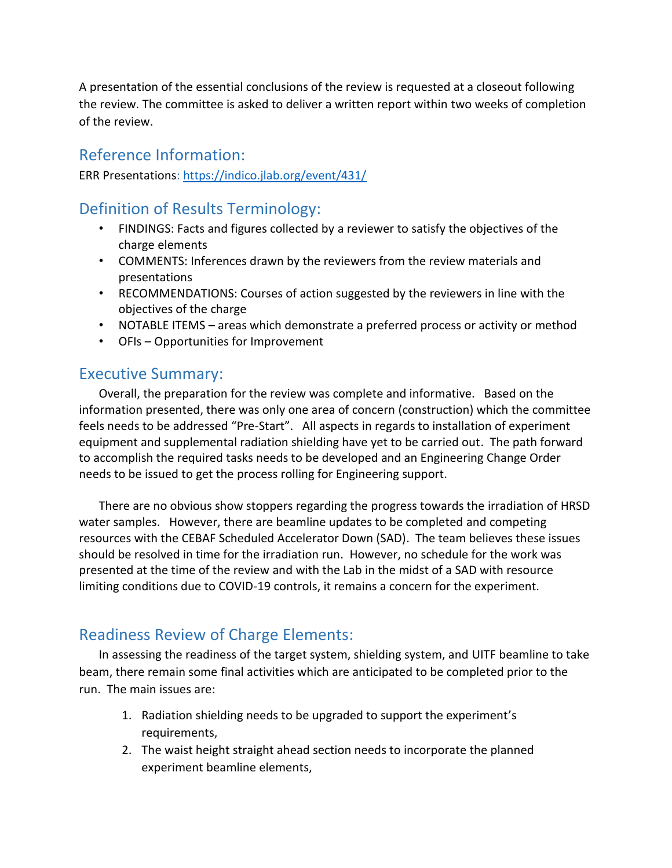A presentation of the essential conclusions of the review is requested at a closeout following the review. The committee is asked to deliver a written report within two weeks of completion of the review.

## Reference Information:

ERR Presentations[: https://indico.jlab.org/event/431/](https://indico.jlab.org/event/431/)

## Definition of Results Terminology:

- FINDINGS: Facts and figures collected by a reviewer to satisfy the objectives of the charge elements
- COMMENTS: Inferences drawn by the reviewers from the review materials and presentations
- RECOMMENDATIONS: Courses of action suggested by the reviewers in line with the objectives of the charge
- NOTABLE ITEMS areas which demonstrate a preferred process or activity or method
- OFIs Opportunities for Improvement

## Executive Summary:

Overall, the preparation for the review was complete and informative. Based on the information presented, there was only one area of concern (construction) which the committee feels needs to be addressed "Pre-Start". All aspects in regards to installation of experiment equipment and supplemental radiation shielding have yet to be carried out. The path forward to accomplish the required tasks needs to be developed and an Engineering Change Order needs to be issued to get the process rolling for Engineering support.

There are no obvious show stoppers regarding the progress towards the irradiation of HRSD water samples. However, there are beamline updates to be completed and competing resources with the CEBAF Scheduled Accelerator Down (SAD). The team believes these issues should be resolved in time for the irradiation run. However, no schedule for the work was presented at the time of the review and with the Lab in the midst of a SAD with resource limiting conditions due to COVID-19 controls, it remains a concern for the experiment.

## Readiness Review of Charge Elements:

In assessing the readiness of the target system, shielding system, and UITF beamline to take beam, there remain some final activities which are anticipated to be completed prior to the run. The main issues are:

- 1. Radiation shielding needs to be upgraded to support the experiment's requirements,
- 2. The waist height straight ahead section needs to incorporate the planned experiment beamline elements,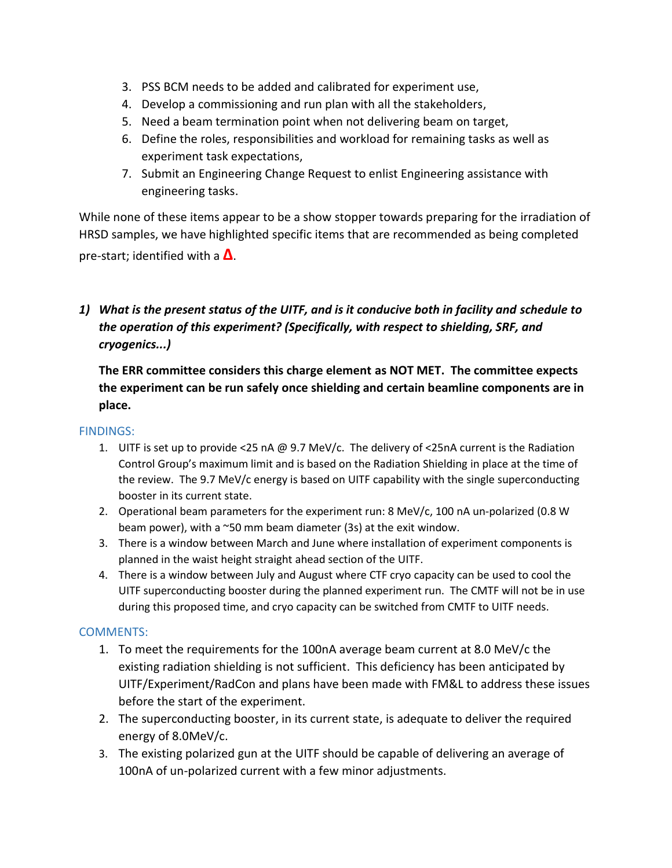- 3. PSS BCM needs to be added and calibrated for experiment use,
- 4. Develop a commissioning and run plan with all the stakeholders,
- 5. Need a beam termination point when not delivering beam on target,
- 6. Define the roles, responsibilities and workload for remaining tasks as well as experiment task expectations,
- 7. Submit an Engineering Change Request to enlist Engineering assistance with engineering tasks.

While none of these items appear to be a show stopper towards preparing for the irradiation of HRSD samples, we have highlighted specific items that are recommended as being completed pre-start; identified with a **Δ**.

## *1) What is the present status of the UITF, and is it conducive both in facility and schedule to the operation of this experiment? (Specifically, with respect to shielding, SRF, and cryogenics...)*

**The ERR committee considers this charge element as NOT MET. The committee expects the experiment can be run safely once shielding and certain beamline components are in place.**

#### FINDINGS:

- 1. UITF is set up to provide <25 nA @ 9.7 MeV/c. The delivery of <25nA current is the Radiation Control Group's maximum limit and is based on the Radiation Shielding in place at the time of the review. The 9.7 MeV/c energy is based on UITF capability with the single superconducting booster in its current state.
- 2. Operational beam parameters for the experiment run: 8 MeV/c, 100 nA un-polarized (0.8 W beam power), with a  $\sim$ 50 mm beam diameter (3s) at the exit window.
- 3. There is a window between March and June where installation of experiment components is planned in the waist height straight ahead section of the UITF.
- 4. There is a window between July and August where CTF cryo capacity can be used to cool the UITF superconducting booster during the planned experiment run. The CMTF will not be in use during this proposed time, and cryo capacity can be switched from CMTF to UITF needs.

#### COMMENTS:

- 1. To meet the requirements for the 100nA average beam current at 8.0 MeV/c the existing radiation shielding is not sufficient. This deficiency has been anticipated by UITF/Experiment/RadCon and plans have been made with FM&L to address these issues before the start of the experiment.
- 2. The superconducting booster, in its current state, is adequate to deliver the required energy of 8.0MeV/c.
- 3. The existing polarized gun at the UITF should be capable of delivering an average of 100nA of un-polarized current with a few minor adjustments.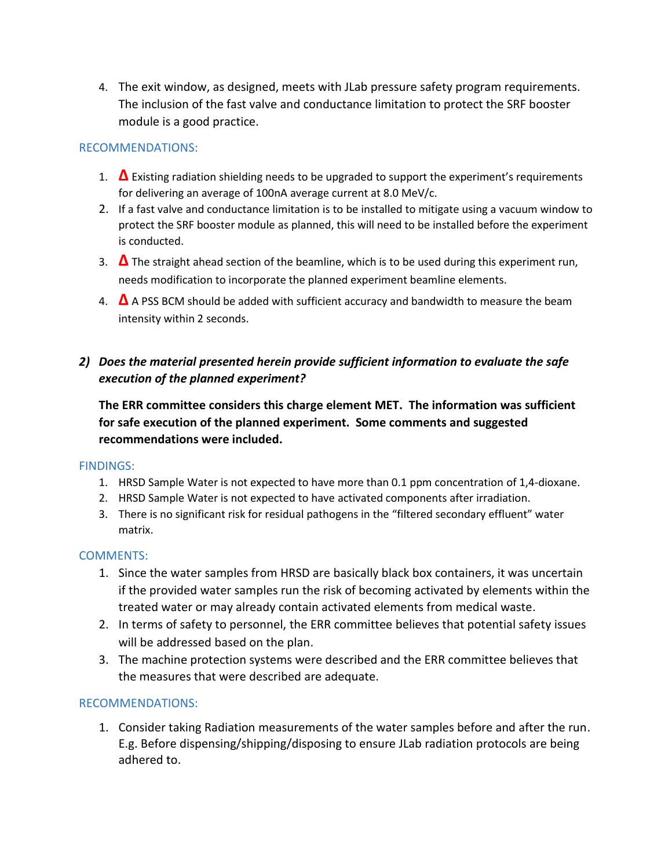4. The exit window, as designed, meets with JLab pressure safety program requirements. The inclusion of the fast valve and conductance limitation to protect the SRF booster module is a good practice.

#### RECOMMENDATIONS:

- 1. **Δ** Existing radiation shielding needs to be upgraded to support the experiment's requirements for delivering an average of 100nA average current at 8.0 MeV/c.
- 2. If a fast valve and conductance limitation is to be installed to mitigate using a vacuum window to protect the SRF booster module as planned, this will need to be installed before the experiment is conducted.
- 3. **Δ** The straight ahead section of the beamline, which is to be used during this experiment run, needs modification to incorporate the planned experiment beamline elements.
- 4. **Δ** A PSS BCM should be added with sufficient accuracy and bandwidth to measure the beam intensity within 2 seconds.

## *2) Does the material presented herein provide sufficient information to evaluate the safe execution of the planned experiment?*

**The ERR committee considers this charge element MET. The information was sufficient for safe execution of the planned experiment. Some comments and suggested recommendations were included.**

#### FINDINGS:

- 1. HRSD Sample Water is not expected to have more than 0.1 ppm concentration of 1,4-dioxane.
- 2. HRSD Sample Water is not expected to have activated components after irradiation.
- 3. There is no significant risk for residual pathogens in the "filtered secondary effluent" water matrix.

#### COMMENTS:

- 1. Since the water samples from HRSD are basically black box containers, it was uncertain if the provided water samples run the risk of becoming activated by elements within the treated water or may already contain activated elements from medical waste.
- 2. In terms of safety to personnel, the ERR committee believes that potential safety issues will be addressed based on the plan.
- 3. The machine protection systems were described and the ERR committee believes that the measures that were described are adequate.

#### RECOMMENDATIONS:

1. Consider taking Radiation measurements of the water samples before and after the run. E.g. Before dispensing/shipping/disposing to ensure JLab radiation protocols are being adhered to.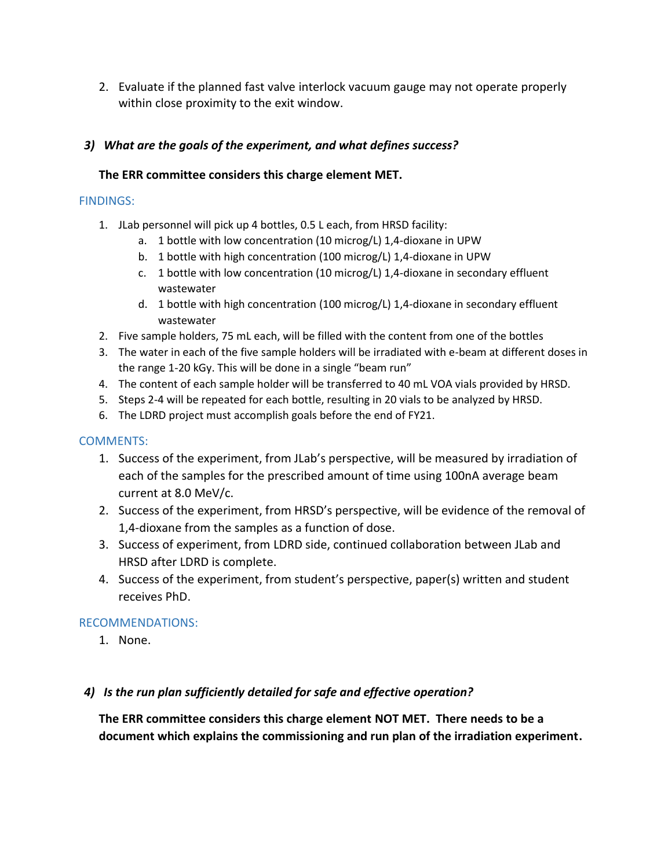2. Evaluate if the planned fast valve interlock vacuum gauge may not operate properly within close proximity to the exit window.

### *3) What are the goals of the experiment, and what defines success?*

#### **The ERR committee considers this charge element MET.**

#### FINDINGS:

- 1. JLab personnel will pick up 4 bottles, 0.5 L each, from HRSD facility:
	- a. 1 bottle with low concentration (10 microg/L) 1,4-dioxane in UPW
	- b. 1 bottle with high concentration (100 microg/L) 1,4-dioxane in UPW
	- c. 1 bottle with low concentration (10 microg/L) 1,4-dioxane in secondary effluent wastewater
	- d. 1 bottle with high concentration (100 microg/L) 1,4-dioxane in secondary effluent wastewater
- 2. Five sample holders, 75 mL each, will be filled with the content from one of the bottles
- 3. The water in each of the five sample holders will be irradiated with e-beam at different doses in the range 1-20 kGy. This will be done in a single "beam run"
- 4. The content of each sample holder will be transferred to 40 mL VOA vials provided by HRSD.
- 5. Steps 2-4 will be repeated for each bottle, resulting in 20 vials to be analyzed by HRSD.
- 6. The LDRD project must accomplish goals before the end of FY21.

#### COMMENTS:

- 1. Success of the experiment, from JLab's perspective, will be measured by irradiation of each of the samples for the prescribed amount of time using 100nA average beam current at 8.0 MeV/c.
- 2. Success of the experiment, from HRSD's perspective, will be evidence of the removal of 1,4-dioxane from the samples as a function of dose.
- 3. Success of experiment, from LDRD side, continued collaboration between JLab and HRSD after LDRD is complete.
- 4. Success of the experiment, from student's perspective, paper(s) written and student receives PhD.

### RECOMMENDATIONS:

1. None.

#### *4) Is the run plan sufficiently detailed for safe and effective operation?*

**The ERR committee considers this charge element NOT MET. There needs to be a document which explains the commissioning and run plan of the irradiation experiment.**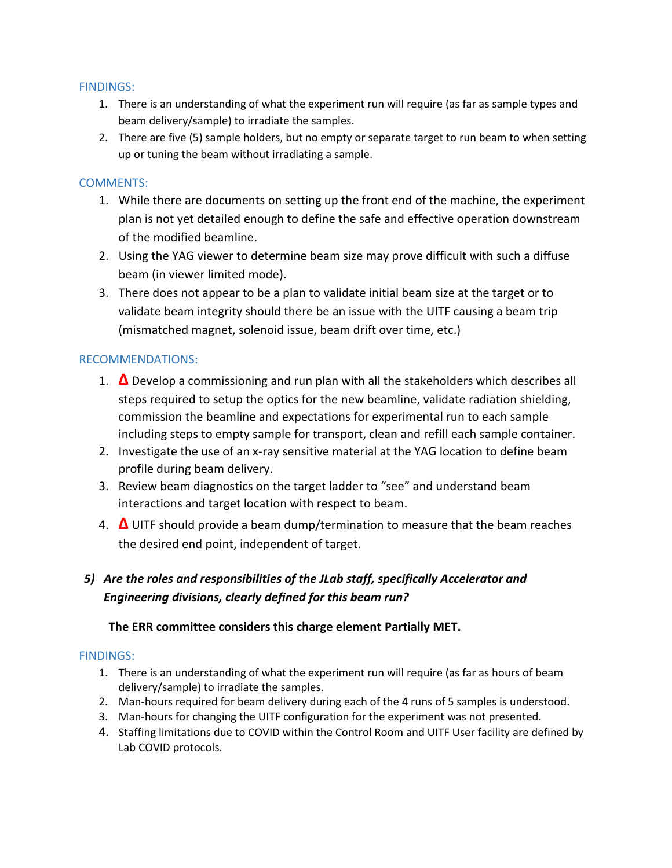#### FINDINGS:

- 1. There is an understanding of what the experiment run will require (as far as sample types and beam delivery/sample) to irradiate the samples.
- 2. There are five (5) sample holders, but no empty or separate target to run beam to when setting up or tuning the beam without irradiating a sample.

#### COMMENTS:

- 1. While there are documents on setting up the front end of the machine, the experiment plan is not yet detailed enough to define the safe and effective operation downstream of the modified beamline.
- 2. Using the YAG viewer to determine beam size may prove difficult with such a diffuse beam (in viewer limited mode).
- 3. There does not appear to be a plan to validate initial beam size at the target or to validate beam integrity should there be an issue with the UITF causing a beam trip (mismatched magnet, solenoid issue, beam drift over time, etc.)

#### RECOMMENDATIONS:

- 1. **Δ** Develop a commissioning and run plan with all the stakeholders which describes all steps required to setup the optics for the new beamline, validate radiation shielding, commission the beamline and expectations for experimental run to each sample including steps to empty sample for transport, clean and refill each sample container.
- 2. Investigate the use of an x-ray sensitive material at the YAG location to define beam profile during beam delivery.
- 3. Review beam diagnostics on the target ladder to "see" and understand beam interactions and target location with respect to beam.
- 4. **Δ** UITF should provide a beam dump/termination to measure that the beam reaches the desired end point, independent of target.

## *5) Are the roles and responsibilities of the JLab staff, specifically Accelerator and Engineering divisions, clearly defined for this beam run?*

#### **The ERR committee considers this charge element Partially MET.**

#### FINDINGS:

- 1. There is an understanding of what the experiment run will require (as far as hours of beam delivery/sample) to irradiate the samples.
- 2. Man-hours required for beam delivery during each of the 4 runs of 5 samples is understood.
- 3. Man-hours for changing the UITF configuration for the experiment was not presented.
- 4. Staffing limitations due to COVID within the Control Room and UITF User facility are defined by Lab COVID protocols.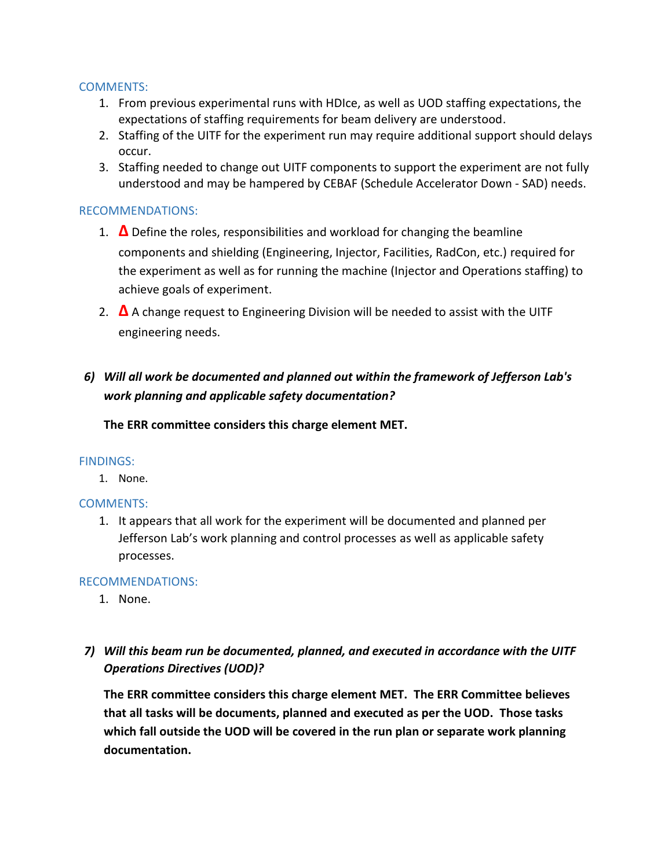#### COMMENTS:

- 1. From previous experimental runs with HDIce, as well as UOD staffing expectations, the expectations of staffing requirements for beam delivery are understood.
- 2. Staffing of the UITF for the experiment run may require additional support should delays occur.
- 3. Staffing needed to change out UITF components to support the experiment are not fully understood and may be hampered by CEBAF (Schedule Accelerator Down - SAD) needs.

#### RECOMMENDATIONS:

- 1. **Δ** Define the roles, responsibilities and workload for changing the beamline components and shielding (Engineering, Injector, Facilities, RadCon, etc.) required for the experiment as well as for running the machine (Injector and Operations staffing) to achieve goals of experiment.
- 2. **Δ** A change request to Engineering Division will be needed to assist with the UITF engineering needs.

## *6) Will all work be documented and planned out within the framework of Jefferson Lab's work planning and applicable safety documentation?*

**The ERR committee considers this charge element MET.**

#### FINDINGS:

1. None.

#### COMMENTS:

1. It appears that all work for the experiment will be documented and planned per Jefferson Lab's work planning and control processes as well as applicable safety processes.

#### RECOMMENDATIONS:

- 1. None.
- *7) Will this beam run be documented, planned, and executed in accordance with the UITF Operations Directives (UOD)?*

**The ERR committee considers this charge element MET. The ERR Committee believes that all tasks will be documents, planned and executed as per the UOD. Those tasks which fall outside the UOD will be covered in the run plan or separate work planning documentation.**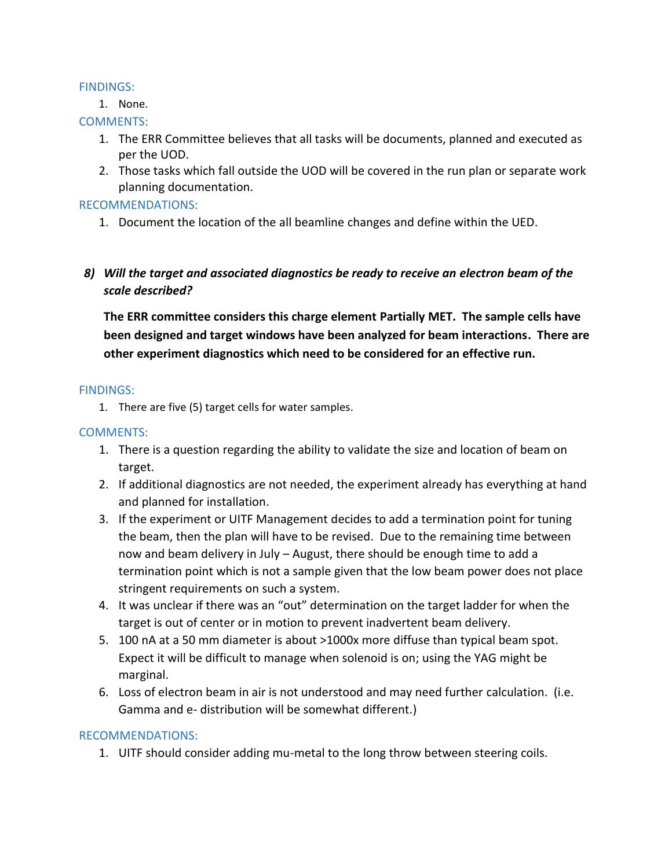#### FINDINGS:

1. None.

#### COMMENTS:

- 1. The ERR Committee believes that all tasks will be documents, planned and executed as per the UOD.
- 2. Those tasks which fall outside the UOD will be covered in the run plan or separate work planning documentation.

#### RECOMMENDATIONS:

1. Document the location of the all beamline changes and define within the UED.

### *8) Will the target and associated diagnostics be ready to receive an electron beam of the scale described?*

**The ERR committee considers this charge element Partially MET. The sample cells have been designed and target windows have been analyzed for beam interactions. There are other experiment diagnostics which need to be considered for an effective run.**

#### FINDINGS:

1. There are five (5) target cells for water samples.

#### COMMENTS:

- 1. There is a question regarding the ability to validate the size and location of beam on target.
- 2. If additional diagnostics are not needed, the experiment already has everything at hand and planned for installation.
- 3. If the experiment or UITF Management decides to add a termination point for tuning the beam, then the plan will have to be revised. Due to the remaining time between now and beam delivery in July – August, there should be enough time to add a termination point which is not a sample given that the low beam power does not place stringent requirements on such a system.
- 4. It was unclear if there was an "out" determination on the target ladder for when the target is out of center or in motion to prevent inadvertent beam delivery.
- 5. 100 nA at a 50 mm diameter is about >1000x more diffuse than typical beam spot. Expect it will be difficult to manage when solenoid is on; using the YAG might be marginal.
- 6. Loss of electron beam in air is not understood and may need further calculation. (i.e. Gamma and e- distribution will be somewhat different.)

#### RECOMMENDATIONS:

1. UITF should consider adding mu-metal to the long throw between steering coils.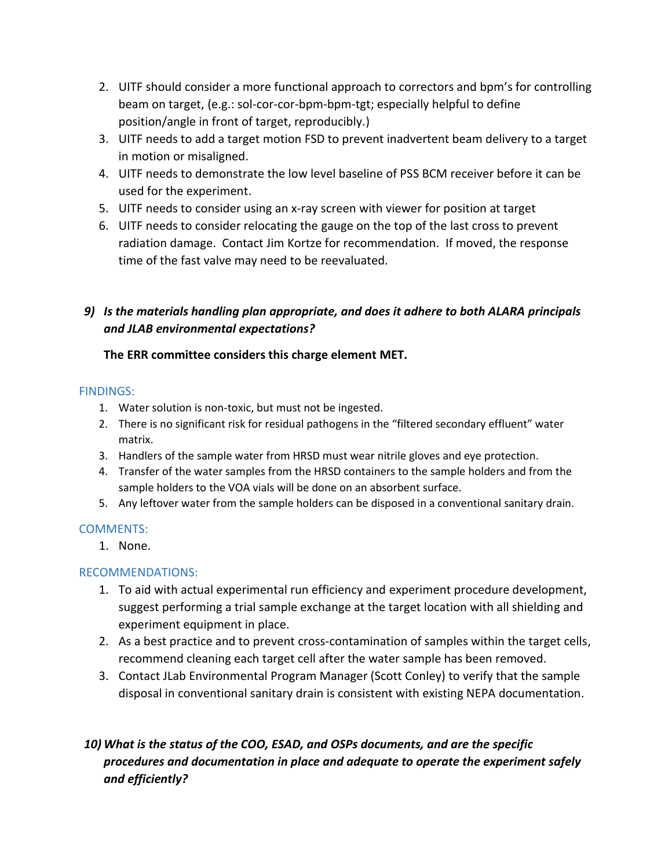- 2. UITF should consider a more functional approach to correctors and bpm's for controlling beam on target, (e.g.: sol-cor-cor-bpm-bpm-tgt; especially helpful to define position/angle in front of target, reproducibly.)
- 3. UITF needs to add a target motion FSD to prevent inadvertent beam delivery to a target in motion or misaligned.
- 4. UITF needs to demonstrate the low level baseline of PSS BCM receiver before it can be used for the experiment.
- 5. UITF needs to consider using an x-ray screen with viewer for position at target
- 6. UITF needs to consider relocating the gauge on the top of the last cross to prevent radiation damage. Contact Jim Kortze for recommendation. If moved, the response time of the fast valve may need to be reevaluated.

## *9) Is the materials handling plan appropriate, and does it adhere to both ALARA principals and JLAB environmental expectations?*

## **The ERR committee considers this charge element MET.**

### FINDINGS:

- 1. Water solution is non-toxic, but must not be ingested.
- 2. There is no significant risk for residual pathogens in the "filtered secondary effluent" water matrix.
- 3. Handlers of the sample water from HRSD must wear nitrile gloves and eye protection.
- 4. Transfer of the water samples from the HRSD containers to the sample holders and from the sample holders to the VOA vials will be done on an absorbent surface.
- 5. Any leftover water from the sample holders can be disposed in a conventional sanitary drain.

### COMMENTS:

1. None.

### RECOMMENDATIONS:

- 1. To aid with actual experimental run efficiency and experiment procedure development, suggest performing a trial sample exchange at the target location with all shielding and experiment equipment in place.
- 2. As a best practice and to prevent cross-contamination of samples within the target cells, recommend cleaning each target cell after the water sample has been removed.
- 3. Contact JLab Environmental Program Manager (Scott Conley) to verify that the sample disposal in conventional sanitary drain is consistent with existing NEPA documentation.

## *10) What is the status of the COO, ESAD, and OSPs documents, and are the specific procedures and documentation in place and adequate to operate the experiment safely and efficiently?*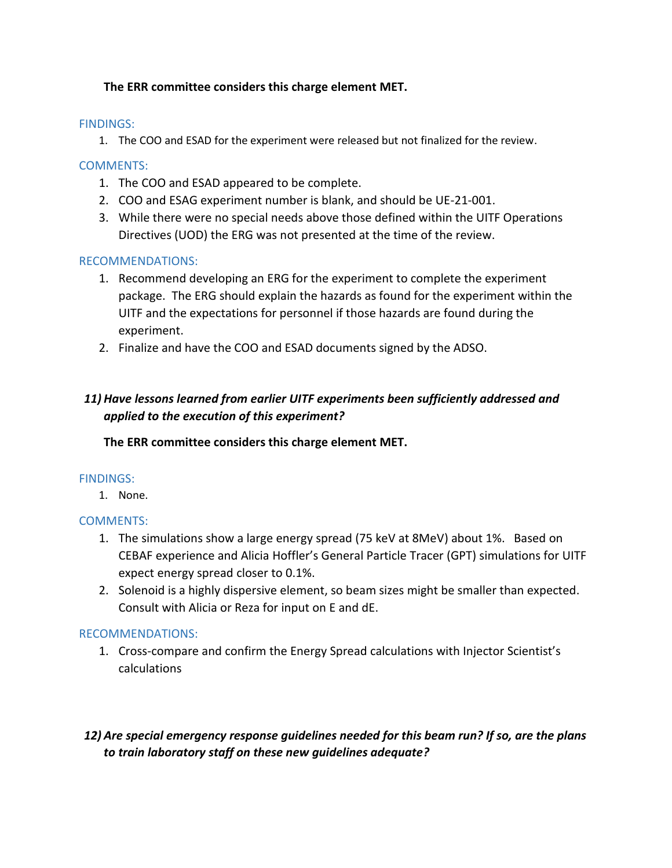#### **The ERR committee considers this charge element MET.**

#### FINDINGS:

1. The COO and ESAD for the experiment were released but not finalized for the review.

#### COMMENTS:

- 1. The COO and ESAD appeared to be complete.
- 2. COO and ESAG experiment number is blank, and should be UE-21-001.
- 3. While there were no special needs above those defined within the UITF Operations Directives (UOD) the ERG was not presented at the time of the review.

#### RECOMMENDATIONS:

- 1. Recommend developing an ERG for the experiment to complete the experiment package. The ERG should explain the hazards as found for the experiment within the UITF and the expectations for personnel if those hazards are found during the experiment.
- 2. Finalize and have the COO and ESAD documents signed by the ADSO.

## *11) Have lessons learned from earlier UITF experiments been sufficiently addressed and applied to the execution of this experiment?*

**The ERR committee considers this charge element MET.** 

#### FINDINGS:

1. None.

#### COMMENTS:

- 1. The simulations show a large energy spread (75 keV at 8MeV) about 1%. Based on CEBAF experience and Alicia Hoffler's General Particle Tracer (GPT) simulations for UITF expect energy spread closer to 0.1%.
- 2. Solenoid is a highly dispersive element, so beam sizes might be smaller than expected. Consult with Alicia or Reza for input on E and dE.

#### RECOMMENDATIONS:

1. Cross-compare and confirm the Energy Spread calculations with Injector Scientist's calculations

## *12) Are special emergency response guidelines needed for this beam run? If so, are the plans to train laboratory staff on these new guidelines adequate?*